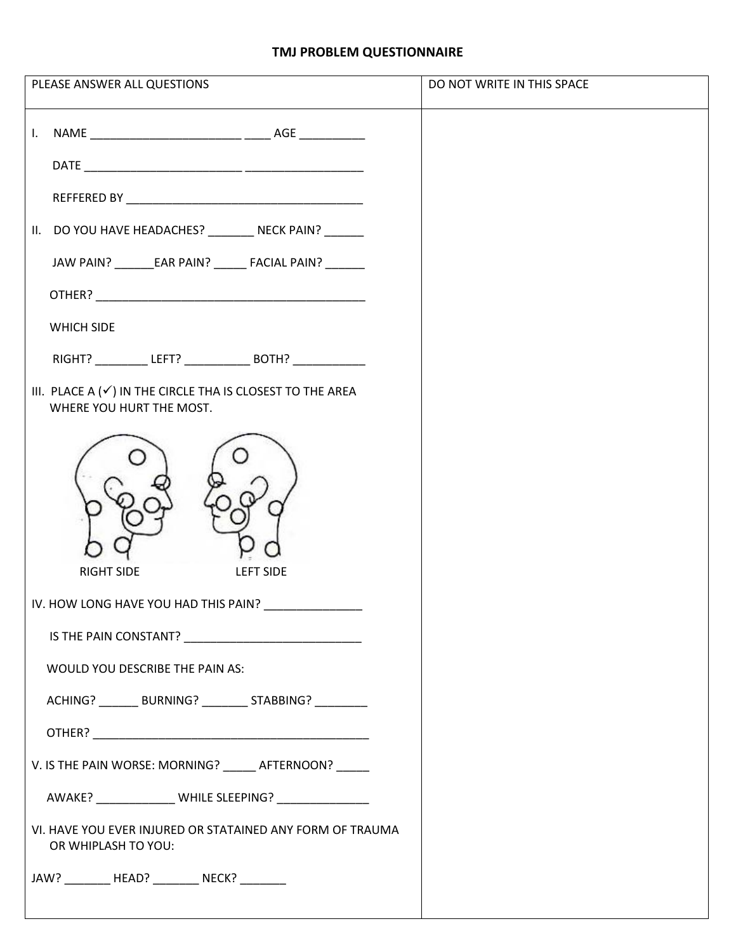## **TMJ PROBLEM QUESTIONNAIRE**

| PLEASE ANSWER ALL QUESTIONS                                                                                   | DO NOT WRITE IN THIS SPACE |
|---------------------------------------------------------------------------------------------------------------|----------------------------|
|                                                                                                               |                            |
|                                                                                                               |                            |
| II. DO YOU HAVE HEADACHES? __________ NECK PAIN? _______                                                      |                            |
| JAW PAIN? ________ EAR PAIN? _______ FACIAL PAIN? _______                                                     |                            |
|                                                                                                               |                            |
| WHICH SIDE                                                                                                    |                            |
| RIGHT? LEFT? BOTH?                                                                                            |                            |
| III. PLACE A $(\checkmark)$ IN THE CIRCLE THA IS CLOSEST TO THE AREA<br>WHERE YOU HURT THE MOST.              |                            |
| <b>RIGHT SIDE</b><br><b>LEFT SIDE</b>                                                                         |                            |
| IV. HOW LONG HAVE YOU HAD THIS PAIN?                                                                          |                            |
| IS THE PAIN CONSTANT? THE RESERVE AND RESERVE AND RESERVE AND RESERVE AND RESERVE AND RESERVE AND RESERVE AND |                            |
| WOULD YOU DESCRIBE THE PAIN AS:                                                                               |                            |
| ACHING? ________ BURNING? _________ STABBING? _________                                                       |                            |
|                                                                                                               |                            |
| V. IS THE PAIN WORSE: MORNING? ______ AFTERNOON? _____                                                        |                            |
| AWAKE? _______________ WHILE SLEEPING? ________________                                                       |                            |
| VI. HAVE YOU EVER INJURED OR STATAINED ANY FORM OF TRAUMA<br>OR WHIPLASH TO YOU:                              |                            |
| JAW? __________ HEAD? _________ NECK? ________                                                                |                            |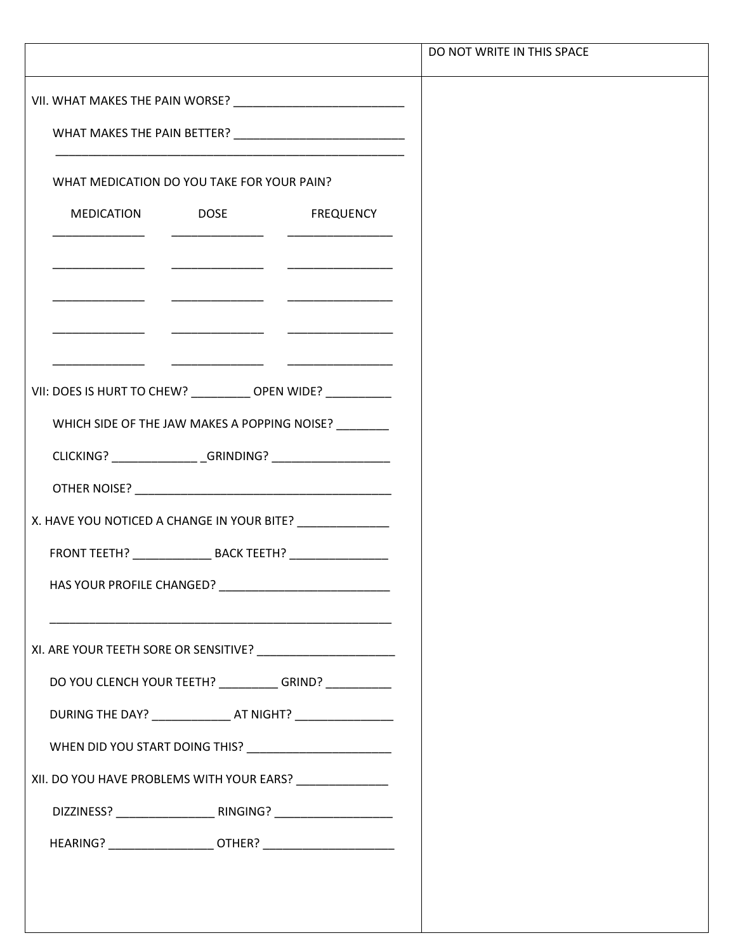|                                                                |                                                                                                                       |                                                                                                                                                                                                                                      | DO NOT WRITE IN THIS SPACE |  |
|----------------------------------------------------------------|-----------------------------------------------------------------------------------------------------------------------|--------------------------------------------------------------------------------------------------------------------------------------------------------------------------------------------------------------------------------------|----------------------------|--|
|                                                                |                                                                                                                       |                                                                                                                                                                                                                                      |                            |  |
|                                                                |                                                                                                                       |                                                                                                                                                                                                                                      |                            |  |
| WHAT MEDICATION DO YOU TAKE FOR YOUR PAIN?                     |                                                                                                                       |                                                                                                                                                                                                                                      |                            |  |
|                                                                |                                                                                                                       | MEDICATION DOSE FREQUENCY                                                                                                                                                                                                            |                            |  |
|                                                                |                                                                                                                       |                                                                                                                                                                                                                                      |                            |  |
|                                                                | <u> 1989 - Johann Harry Harry Harry Harry Harry Harry Harry Harry Harry Harry Harry Harry Harry Harry Harry Harry</u> |                                                                                                                                                                                                                                      |                            |  |
|                                                                |                                                                                                                       |                                                                                                                                                                                                                                      |                            |  |
| VII: DOES IS HURT TO CHEW? ____________ OPEN WIDE? ___________ |                                                                                                                       |                                                                                                                                                                                                                                      |                            |  |
|                                                                |                                                                                                                       | WHICH SIDE OF THE JAW MAKES A POPPING NOISE?                                                                                                                                                                                         |                            |  |
|                                                                |                                                                                                                       | CLICKING? ________________GRINDING? ____________________                                                                                                                                                                             |                            |  |
|                                                                |                                                                                                                       | OTHER NOISE? <b>CONTRACT CONTRACT CONTRACT CONTRACT CONTRACT CONTRACT CONTRACT CONTRACT CONTRACT CONTRACT CONTRACT CONTRACT CONTRACT CONTRACT CONTRACT CONTRACT CONTRACT CONTRACT CONTRACT CONTRACT CONTRACT CONTRACT CONTRACT C</b> |                            |  |
| X. HAVE YOU NOTICED A CHANGE IN YOUR BITE?                     |                                                                                                                       |                                                                                                                                                                                                                                      |                            |  |
|                                                                |                                                                                                                       |                                                                                                                                                                                                                                      |                            |  |
|                                                                |                                                                                                                       |                                                                                                                                                                                                                                      |                            |  |
|                                                                |                                                                                                                       |                                                                                                                                                                                                                                      |                            |  |
|                                                                |                                                                                                                       |                                                                                                                                                                                                                                      |                            |  |
|                                                                |                                                                                                                       | DO YOU CLENCH YOUR TEETH? __________GRIND? __________                                                                                                                                                                                |                            |  |
|                                                                |                                                                                                                       | DURING THE DAY? ________________ AT NIGHT? _________________                                                                                                                                                                         |                            |  |
|                                                                |                                                                                                                       | WHEN DID YOU START DOING THIS? _________________________                                                                                                                                                                             |                            |  |
| XII. DO YOU HAVE PROBLEMS WITH YOUR EARS?                      |                                                                                                                       |                                                                                                                                                                                                                                      |                            |  |
|                                                                |                                                                                                                       |                                                                                                                                                                                                                                      |                            |  |
|                                                                |                                                                                                                       |                                                                                                                                                                                                                                      |                            |  |
|                                                                |                                                                                                                       |                                                                                                                                                                                                                                      |                            |  |
|                                                                |                                                                                                                       |                                                                                                                                                                                                                                      |                            |  |